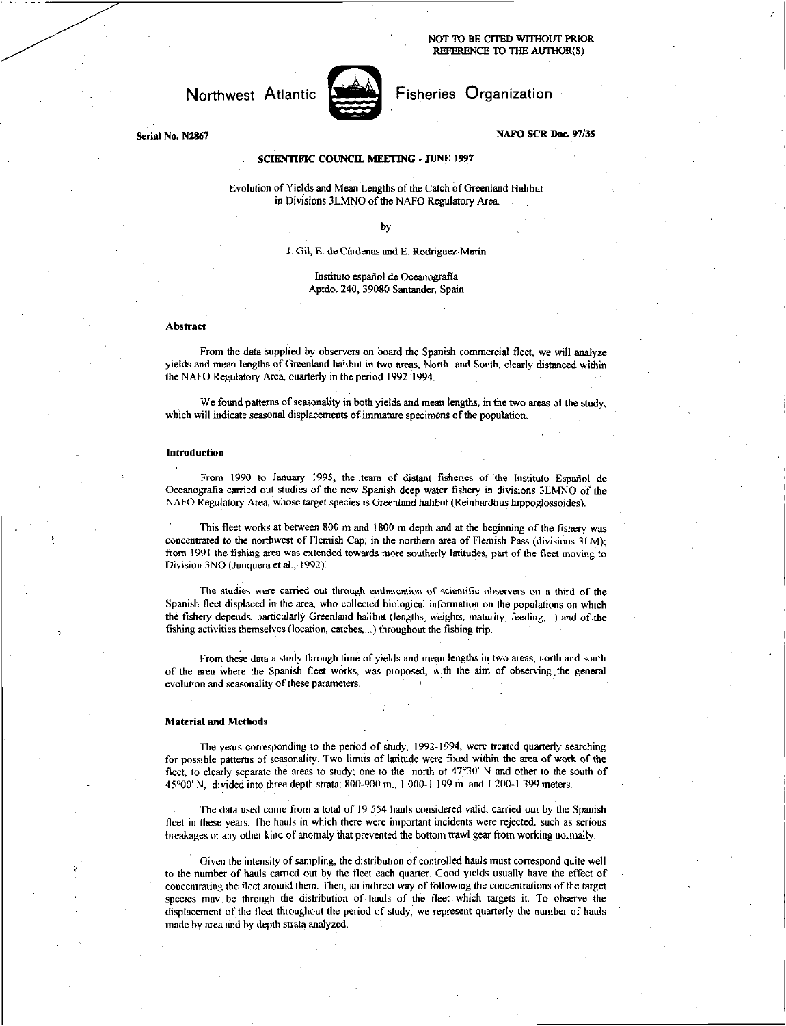**NOT TO BE CITED WITHOUT PRIOR REFERENCE ID THE AUTHOR(S)** 

Northwest Atlantic **Fisheries** Organization



# **Serial No. N2867 NAFO SCR Doc. 97/35**

# **SCIENTIFIC COUNCIL MEETING • JUNE 1997**

Evolution of Yields and Mean Lengths of the Catch of Greenland Halibut in Divisions 3LMNO of the NAFO Regulatory Area.

by

#### 3. Gil, E. de Cardenas and E. Rodriguez-Marin

Institute espafiol de Oceanografia Aptdo. 240, 39080 Santander, Spain

### **Abstract**

From the data supplied by observers on board the Spanish commercial fleet, we will analyze yields and mean lengths of Greenland halibut in two areas, North and South, clearly distanced within the N AFO Regulatory Area, quarterly in the period 1992-1994.

We found patterns of seasonality in both yields and mean lengths, in the two areas of the study, which will indicate seasonal displacements of immature specimens of the population.

### **Introduction**

From 1990 to January 1995, the team of distant fisheries of the Instituto Español de Oceanografia carried out studies of the new Spanish deep water fishery in divisions 3LMNO of the NAFO Regulatory Area, whose target species is Greenland halibut (Reinhardtius hippoglossoides).

This fleet works at between 800 m and 1800 in depth and at the beginning of the fishery was concentrated to the northwest of Flemish Cap, in the northern area of Flemish Pass (divisions 3LM); from 1991 the fishing area was extended towards more southerly latitudes, part of the fleet moving to Division 3N0 (Junquera et al., 1992).

The studies were carried out through embascation of scientific observers on a third of the Spanish fleet displaced in the area, who collected biological information on the populations on which the fishery depends, particularly Greenland halibut (lengths, weights, maturity, feeding,...) and of the fishing activities themselves (location, catches,...) throughout the fishing trip.

From these data a study through time of yields and mean lengths in two areas, north and south of the area where the Spanish fleet works, was proposed, with the aim of observing ,the general evolution and seasonality of these parameters.

#### **Material and Methods**

The years corresponding to the period of study, 1992-1994, were treated quarterly searching for possible patterns of seasonality. Two limits of latitude were fixed within the area of work of the fleet, to clearly separate the areas to study; one to the north of 47°30' N and other to the south of 45°00' N, divided into three depth strata: 800-900 m., 1000-I 199 m. and 1 200-1 399 meters.

The data used come from a total of 19 554 hauls considered valid, carried out by the Spanish fleet in these years. The hauls in which there were important incidents were rejected, such as serious breakages or any other kind of anomaly that prevented the bottom trawl gear from working normally.

Given the intensity of sampling, the distribution of controlled hauls must correspond quite well to the number of hauls carried out by the fleet each quarter. Good yields usually have the effect of concentrating the fleet around them. Then, an indirect way of following the concentrations of the target species may be through the distribution of hauls of the fleet which targets it. To observe the displacement of the fleet throughout the period of study, we represent quarterly the number of hauls made by area and by depth strata analyzed.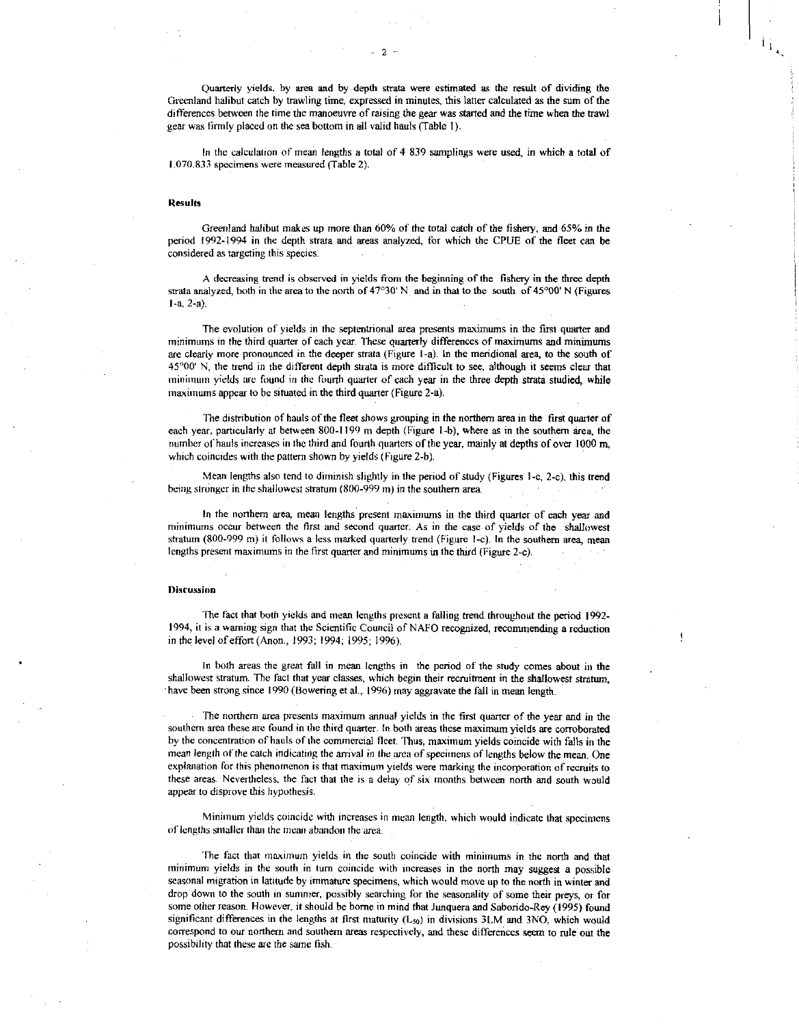Quarterly yields, by area and by depth strata were estimated as the result of dividing the Greenland halibut catch by trawling time, expressed in minutes, this latter calculated as the sum of the differences between the time the manoeuvre of raising the gear was started and the time when the trawl gear was firmly placed on the sea bottom in all valid hauls (Table 1).

In the calculation of mean lengths a total of 4 839 samplings were used, in which a total of 1070.833 specimens were measured (Table 2).

## Results

Greenland halibut makes up more than 60% of the total catch of the fishery, and 65% in the period 1992-1994 in the depth strata and areas analyzed, for which the CPUE of the fleet can be considered as targeting this species.

A decreasing trend is observed in yields from the beginning of the fishery in the three depth strata analyzed, both in the area to the north of  $47^{\circ}30'$  N and in that to the south of  $45^{\circ}00'$  N (Figures  $1 - a$ ,  $2 - a$ ).

• The evolution of yields in the septentrional area presents maximums in the first quarter and minimums in the third quarter of each year. These quarterly differences of maximums and minimums are clearly more pronounced in the deeper strata (Figure 1-a). In the meridional area, to the south of 45°00' N, the trend in the different depth strata is more difficult to see, although it seems clear that minimum yields are found in the fourth quarter of each year in the three depth strata studied, while maximums appear to be situated in the third quarter (Figure 2-a).

The distribution of hauls of the fleet shows grouping in the northern area in the first quarter of each year, particularly at between 800-1199 m depth (Figure 1-b), where as in the southern area, the number of hauls increases in the third and fourth quarters of the year, mainly at depths of over 1000 m, which coincides with the pattern shown by yields (Figure 2-b).

Mean lengths also tend to diminish slightly in the period of study (Figures I -c, 2-c), this trend being stronger in the shallowest stratum (800-999 m) in the southern area.

In the northern area, mean lengths present maximums in the third quarter of each year and minimums occur between the first and second quarter. As in the case of yields of the shallowest stratum (800-999 m) it follows a less marked quarterly trend (Figure 1-c). In the southern area, mean lengths present maximums in the first quarter and minimums in the third (Figure 2-c).

#### **Discussion**

The fact that both yields and mean lengths present a falling trend throughout the period 1992- 1994, it is a warning sign that the Scientific Council of NAFO recognized, recommending a reduction in the level of effort (Anon., 1993; 1994; 1995; 1996).

In both areas the great fall in mean lengths in the period of the study comes about in the shallowest stratum. The fact that year classes, which begin their recruitment in the shallowest stratum, have been strong since 1990 (Bowering et al., 1996) may aggravate the fall in mean length.

The northern area presents maximum annual yields in the first quarter of the year and in the southern area these are found in the third quarter. In both areas these maximum yields are corroborated by the concentration of hauls of the commercial fleet. Thus, maximum yields coincide with falls in the mean length of the catch indicating the arrival in the area of specimens of lengths below the mean. One explanation for this phenomenon is that maximum yields were marking the incorporation of recruits to these areas. Nevertheless, the fact that the is a delay of six months between north and south would appear to disprove this hypothesis.

Minimum yields coincide with increases in mean length, which would indicate that specimens of lengths smaller than the mean abandon the area.

The fact that maximum yields in the south coincide with minimums in the north and that minimum yields in the south in turn coincide with increases in the north may suggest a possible seasonal migration in latitude by immature specimens, which would move up to the north in winter and drop down to the south in summer, possibly searching for the seasonality of some their preys, or for some other reason. However, it should be borne in mind that Junquera and Saborido-Rey (1995) found significant differences in the lengths at first maturity  $(L_{50})$  in divisions 3LM and 3NO, which would correspond to our northern and southern areas respectively, and these differences seem to rule out the possibility that these are the same fish.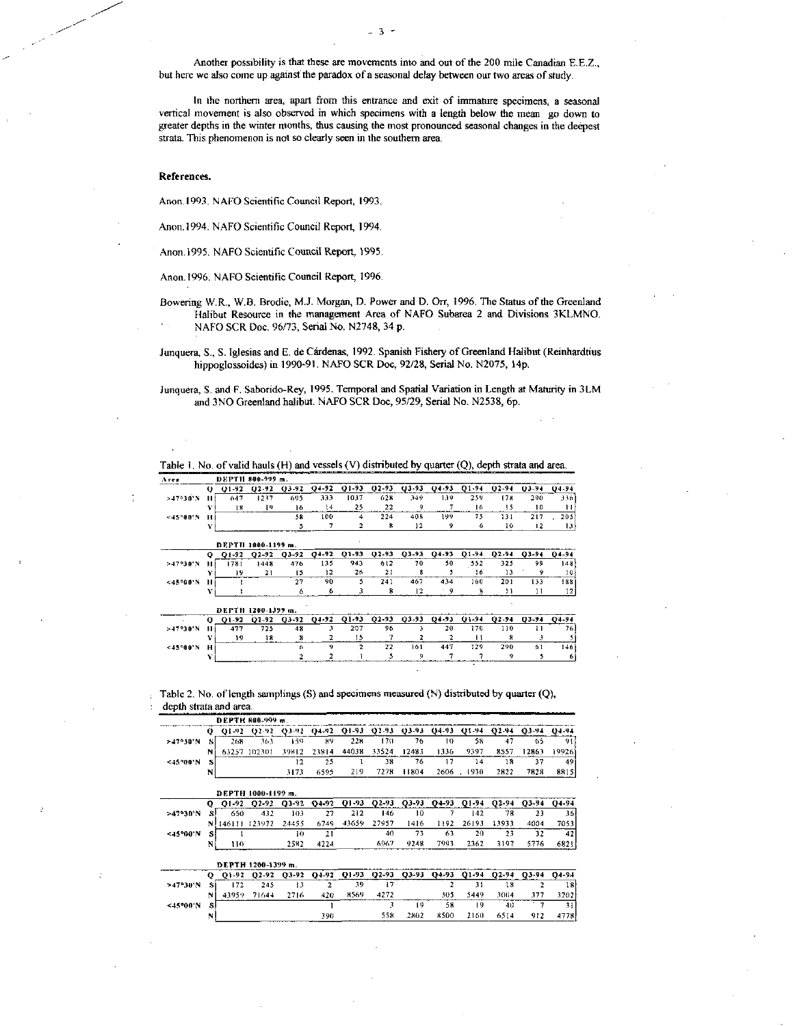Another possibility is that these are movements into and out of the 200 mile Canadian E.E.Z., but here we also come up against the paradox of a seasonal delay between our two areas of study.

3

In the northern area, apart from this entrance and exit of immature specimens, a seasonal vertical movement is also observed in which specimens with a length below the mean go down to greater depths in the winter months, thus causing the most pronounced seasonal changes in the deepest strata. This phenomenon is not so clearly seen in the southern area.

### **References.**

Anon.1993. NAFO Scientific Council Report, 1993.

- Anon.1994. NAFO Scientific Council Report, 1994.
- Anon.1995. NAFO Scientific Council Report, 1995.
- Anon.1996. NAFO Scientific Council Report, 1996.
- Bowering W.R., W.B. Brodie, M.J. Morgan, D. Power and D. On, 1996. The Status of the Greenland Halibut Resource in the management Area of NAFO Subarea 2 and Divisions 3KLMNO. NAFO SCR Doc. 96/73, Serial No. N2748, 34 p.
- Junquera, S., S. Iglesias and E. de Cardenas, 1992. Spanish Fishery of Greenland Halibut (Reinhardtius hippoglossoides) in 1990-91. NAFO SCR Doc, 92/28, Serial No. N2075, Hp.

Junquera, S. and F. Saborido-Rey, 1995. Temporal and Spatial Variation in Length at Maturity in 3LM and 3NO Greenland halibut. NAFO SCR Doc, 95/29, Serial No. N2538, 6p.

| Table 1. No. of valid hauls (H) and vessels (V) distributed by quarter (Q), depth strata and area. |  |
|----------------------------------------------------------------------------------------------------|--|
|                                                                                                    |  |

| Агея        |   | DEPTH 800-999 m. |                                 |           |         |       |           |           |         |           |                   |           |         |
|-------------|---|------------------|---------------------------------|-----------|---------|-------|-----------|-----------|---------|-----------|-------------------|-----------|---------|
|             | o | $01-92$          | $02 - 92$                       | $03 - 92$ | $04-92$ | Q1-93 | $02 - 93$ | $03-93$   | $04-93$ | 01-94     | $02 - 94$         | 03-94     | 04-94   |
| $>47°30'$ N |   | 647              | 1237                            | 695       | 333     | 1037  | 628       | 349       | 139     | 259       | 178               | 290       | 3361    |
|             |   | 18               | 19                              | 16        | 14      | 25    | 22        |           |         | 16        | 15                | 10        | 11      |
| <45°00'N    | и |                  |                                 | 58        | 100     |       | 224       | 408       | 199     | 75        | 131               | 217       | 205     |
|             | v |                  |                                 |           |         |       | R         | 12        | 9       | 6         | 10                | 12        | 13      |
|             |   |                  |                                 |           |         |       |           |           |         |           |                   |           |         |
|             |   |                  |                                 |           |         |       |           |           |         |           |                   |           |         |
|             | o | O1-92            | DEPTH 1000-1199 m.<br>$02 - 92$ | 03-92     | $04-92$ | 01-93 | $02 - 93$ | $03 - 93$ | Q4-93   | $O1 - 94$ | O <sub>2</sub> 94 | $03 - 94$ | $04-94$ |
| $>47°30'$ N |   | 1781             | 1448                            | 476       | 135     | 943   | 612       | 70        | 50      | 552       | 325               | 99        | 148     |
|             | v | 19               | 21                              | 15        | 12      | 26    | 21        | я         |         | 16        | 13                | ۰         | 10      |
| <45°00'N    | н |                  |                                 | 27        | 90      |       | 241       | 467       | 434     | 160       | 201               | 133       | 188     |

|              |          | DEPTH 1200-1399 m. |                   |         |       |                 |    |         |         |           |       |           |       |
|--------------|----------|--------------------|-------------------|---------|-------|-----------------|----|---------|---------|-----------|-------|-----------|-------|
|              | $\Omega$ | 01.92              | D <sub>2-92</sub> | $03-92$ | 04-92 | $01-93$ $02-93$ |    | $03-93$ | $04-93$ | $O1 - 94$ | 02-94 | $03 - 94$ | O4-94 |
| >47°30'N     |          | 477                | 725               | 48      |       | 207             | 96 |         | 20      | 17 D      | 10    |           |       |
|              |          |                    |                   |         |       |                 |    |         |         |           |       |           |       |
| $< 13°00'$ N |          |                    |                   |         |       |                 | 22 | 161     | 447     | 129.      | 290   |           | '40   |
|              |          |                    | _________         |         |       |                 |    |         |         |           |       |           |       |

Table 2. No. of length samplings (S) and specimens measured (N) distributed by quarter (Q), depth strata and area.

|          |           |           | DEPTH 800-999 m.   |           |          |       |           |           |           |                 |       |           |           |
|----------|-----------|-----------|--------------------|-----------|----------|-------|-----------|-----------|-----------|-----------------|-------|-----------|-----------|
|          | 0         | $O1 - 92$ | $02 - 92$          | 03-92     | $04 - 2$ | 01-93 | 02-93     | $03 - 93$ | $04 - 33$ | $01 - 94$       | 02-94 | 03-94     | 04-94     |
| >17°30'N | s         | 268       | 363                | 159       | 89       | 228   | 170       | 76        | 10        | 58              | 47    | 65        | 91        |
|          | N         | 63257     | 102301             | 39812     | 23814    | 44038 | 33524     | 12483     | 1336      | 9397            | 8557  | 12863     | 19926     |
| <45°00'N | s         |           |                    | 12        | 25       |       | 38        | 76        | 17        | $\overline{14}$ | 18    | 37        | 49        |
|          | N         |           |                    | 3173      | 6595     | 219   | 7278      | 11804     | 2606      | 1930            | 2822  | 7828      | 88151     |
|          |           |           | DEPTH 1000-1199 m. |           |          |       |           |           |           |                 |       |           |           |
|          | o         | Q1-92     | 02-92              | $Q3 - 92$ | $04-92$  | Q1-93 | $02 - 93$ | 03-93     | 04-93     | 01-94           | 02-94 | $O3 - 94$ | Q4-94     |
| >47°30'N | s         | 650       | 432                | 103       | 27       | 212   | 146       | 10        |           | 142             | 78    | 23        | $36 -$    |
|          | N         | 146111    | 123972             | 24455     | 6749     | 43659 | 27957     | 1416      | 1192      | 26193           | 13933 | 4004      | 7053      |
| <45°00'N | s         |           |                    | 10        | 21       |       | 40        | 73        | 63        | 20              | 23    | 32        | 42        |
|          | N         | 110       |                    | 2582      | 4224     |       | 6967      | 9248      | 7993      | 2362            | 3197  | 5776      | 6821      |
|          |           |           | DEPTH 1200-1399 m. |           |          |       |           |           |           |                 |       |           |           |
|          | $\bullet$ | Q1-92     | 02-92              | 03-92     | 04.92    | Q1-93 | 02.93     | 03-93     | 04-93     | 01-94           | 02.94 | O3-94     | $04 - 94$ |
| >17°30'N |           | 172       | 245                | 13        | 2        | 39    | 17        |           | 2         | 31              | 18    | 2         | 18        |
|          | N         | 43959     | 71644              | 2716      | 420      | 8569  | 4272      |           | 305       | 5449            | 3004  | 377       | 3202      |

N 390 558 2802 8500 2160 6514 912 4778

<45 00 0 1 3 19 58 19 40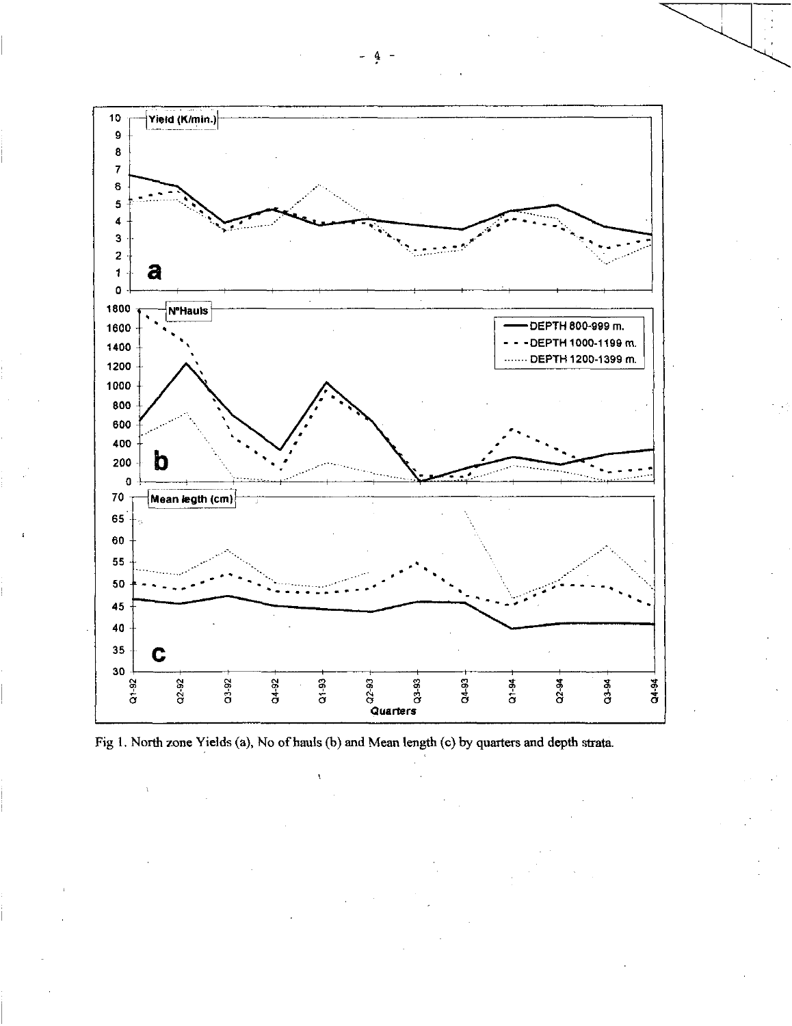

Fig 1. North zone Yields (a), No of hauls (b) and Mean length (c) by quarters and depth strata.